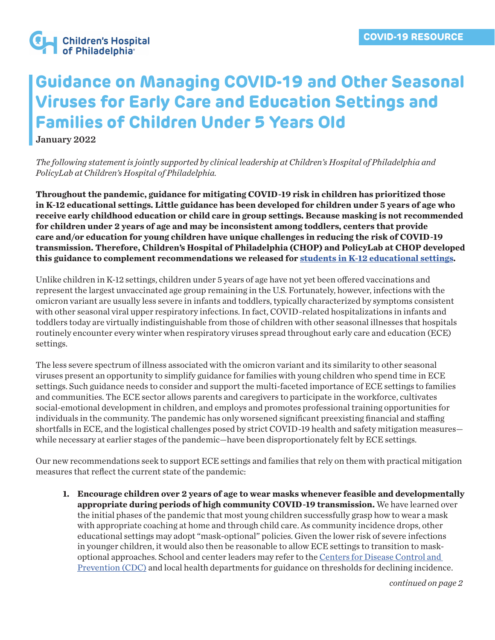

## **Guidance on Managing COVID-19 and Other Seasonal Viruses for Early Care and Education Settings and Families of Children Under 5 Years Old**

January 2022

*The following statement is jointly supported by clinical leadership at Children's Hospital of Philadelphia and PolicyLab at Children's Hospital of Philadelphia.*

**Throughout the pandemic, guidance for mitigating COVID-19 risk in children has prioritized those in K-12 educational settings. Little guidance has been developed for children under 5 years of age who receive early childhood education or child care in group settings. Because masking is not recommended for children under 2 years of age and may be inconsistent among toddlers, centers that provide care and/or education for young children have unique challenges in reducing the risk of COVID-19 transmission. Therefore, Children's Hospital of Philadelphia (CHOP) and PolicyLab at CHOP developed this guidance to complement recommendations we released for [students in K-12 educational settings.](https://policylab.chop.edu/tools-and-memos/guidance-person-education-k-12-educational-settings)** 

Unlike children in K-12 settings, children under 5 years of age have not yet been offered vaccinations and represent the largest unvaccinated age group remaining in the U.S. Fortunately, however, infections with the omicron variant are usually less severe in infants and toddlers, typically characterized by symptoms consistent with other seasonal viral upper respiratory infections. In fact, COVID-related hospitalizations in infants and toddlers today are virtually indistinguishable from those of children with other seasonal illnesses that hospitals routinely encounter every winter when respiratory viruses spread throughout early care and education (ECE) settings.

The less severe spectrum of illness associated with the omicron variant and its similarity to other seasonal viruses present an opportunity to simplify guidance for families with young children who spend time in ECE settings. Such guidance needs to consider and support the multi-faceted importance of ECE settings to families and communities. The ECE sector allows parents and caregivers to participate in the workforce, cultivates social-emotional development in children, and employs and promotes professional training opportunities for individuals in the community. The pandemic has only worsened significant preexisting financial and staffing shortfalls in ECE, and the logistical challenges posed by strict COVID-19 health and safety mitigation measures while necessary at earlier stages of the pandemic—have been disproportionately felt by ECE settings.

Our new recommendations seek to support ECE settings and families that rely on them with practical mitigation measures that reflect the current state of the pandemic:

**1. Encourage children over 2 years of age to wear masks whenever feasible and developmentally appropriate during periods of high community COVID-19 transmission.** We have learned over the initial phases of the pandemic that most young children successfully grasp how to wear a mask with appropriate coaching at home and through child care. As community incidence drops, other educational settings may adopt "mask-optional" policies. Given the lower risk of severe infections in younger children, it would also then be reasonable to allow ECE settings to transition to maskoptional approaches. School and center leaders may refer to the [Centers for Disease Control and](https://covid.cdc.gov/covid-data-tracker/#datatracker-home)  [Prevention \(CDC\)](https://covid.cdc.gov/covid-data-tracker/#datatracker-home) and local health departments for guidance on thresholds for declining incidence.

*continued on page 2*